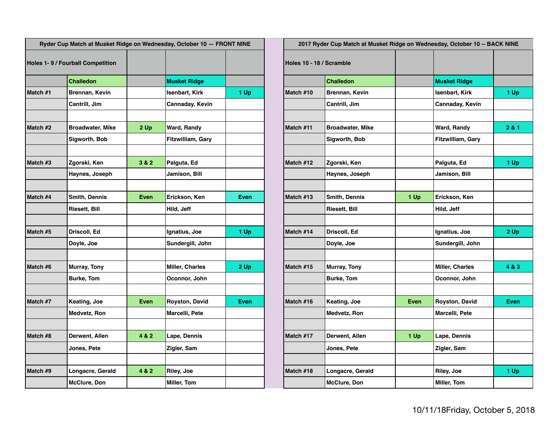| Ryder Cup Match at Musket Ridge on Wednesday, October 10 - FRONT NINE |                         |             |                        | 2017 Ryder Cup Match at Musket Ridge on Wednesday, October 10 -- BACK NINE |                          |                         |             |                        |       |
|-----------------------------------------------------------------------|-------------------------|-------------|------------------------|----------------------------------------------------------------------------|--------------------------|-------------------------|-------------|------------------------|-------|
| <b>Holes 1-9 / Fourball Competition</b>                               |                         |             |                        |                                                                            | Holes 10 - 18 / Scramble |                         |             |                        |       |
|                                                                       | <b>Challedon</b>        |             | <b>Musket Ridge</b>    |                                                                            |                          | <b>Challedon</b>        |             | <b>Musket Ridge</b>    |       |
| Match #1                                                              | <b>Brennan, Kevin</b>   |             | Isenbart, Kirk         | 1 Up                                                                       | Match #10                | Brennan, Kevin          |             | Isenbart, Kirk         | 1 Up  |
|                                                                       | Cantrill, Jim           |             | <b>Cannaday, Kevin</b> |                                                                            |                          | Cantrill, Jim           |             | Cannaday, Kevin        |       |
| Match #2                                                              | <b>Broadwater, Mike</b> | 2 Up        | Ward, Randy            |                                                                            | Match #11                | <b>Broadwater, Mike</b> |             | Ward, Randy            | 2 & 1 |
|                                                                       | Sigworth, Bob           |             | Fitzwilliam, Gary      |                                                                            |                          | Sigworth, Bob           |             | Fitzwilliam, Gary      |       |
| Match #3                                                              | Zgorski, Ken            | 3 & 2       | Palguta, Ed            |                                                                            | Match #12                | Zgorski, Ken            |             | Palguta, Ed            | 1 Up  |
|                                                                       | Haynes, Joseph          |             | Jamison, Bill          |                                                                            |                          | Haynes, Joseph          |             | Jamison, Bill          |       |
| Match #4                                                              | <b>Smith, Dennis</b>    | <b>Even</b> | Erickson, Ken          | <b>Even</b>                                                                | Match #13                | Smith, Dennis           | 1 Up        | Erickson, Ken          |       |
|                                                                       | <b>Riesett, Bill</b>    |             | Hild, Jeff             |                                                                            |                          | <b>Riesett, Bill</b>    |             | Hild, Jeff             |       |
| Match #5                                                              | Driscoll, Ed            |             | Ignatius, Joe          | 1 Up                                                                       | Match #14                | Driscoll, Ed            |             | Ignatius, Joe          | 2Up   |
|                                                                       | Doyle, Joe              |             | Sundergill, John       |                                                                            |                          | Doyle, Joe              |             | Sundergill, John       |       |
| Match #6                                                              | <b>Murray, Tony</b>     |             | <b>Miller, Charles</b> | 2Up                                                                        | Match #15                | <b>Murray, Tony</b>     |             | <b>Miller, Charles</b> | 4 & 3 |
|                                                                       | <b>Burke, Tom</b>       |             | Oconnor, John          |                                                                            |                          | <b>Burke, Tom</b>       |             | Oconnor, John          |       |
| Match #7                                                              | Keating, Joe            | Even        | <b>Royston, David</b>  | Even                                                                       | Match #16                | Keating, Joe            | <b>Even</b> | <b>Royston, David</b>  | Even  |
|                                                                       | Medvetz, Ron            |             | Marcelli, Pete         |                                                                            |                          | Medvetz, Ron            |             | Marcelli, Pete         |       |
| Match #8                                                              | Derwent, Allen          | 4 & 2       | Lape, Dennis           |                                                                            | Match #17                | Derwent, Allen          | 1 Up        | Lape, Dennis           |       |
|                                                                       | Jones, Pete             |             | Zigler, Sam            |                                                                            |                          | Jones, Pete             |             | Zigler, Sam            |       |
|                                                                       |                         |             |                        |                                                                            |                          |                         |             |                        |       |
| Match #9                                                              | Longacre, Gerald        | 4 & 2       | <b>Riley, Joe</b>      |                                                                            | Match #18                | Longacre, Gerald        |             | Riley, Joe             | 1 Up  |
|                                                                       | <b>McClure, Don</b>     |             | Miller, Tom            |                                                                            |                          | <b>McClure, Don</b>     |             | Miller, Tom            |       |

| Ryder Cup Match at Musket Ridge on Wednesday, October 10 - FRONT NINE |                              |       |                                  |             | 2017 Ryder Cup Match at Musket Ridge on Wednesday, October 10 -- BACK NINE |                         |      |                                  |        |  |
|-----------------------------------------------------------------------|------------------------------|-------|----------------------------------|-------------|----------------------------------------------------------------------------|-------------------------|------|----------------------------------|--------|--|
|                                                                       | s 1-9 / Fourball Competition |       |                                  |             | Holes 10 - 18 / Scramble                                                   |                         |      |                                  |        |  |
|                                                                       | <b>Challedon</b>             |       | <b>Musket Ridge</b>              |             |                                                                            | <b>Challedon</b>        |      | <b>Musket Ridge</b>              |        |  |
| h#1                                                                   | Brennan, Kevin               |       | Isenbart, Kirk                   | 1 Up        | Match #10                                                                  | Brennan, Kevin          |      | Isenbart, Kirk                   | 1 Up   |  |
|                                                                       | Cantrill, Jim                |       | Cannaday, Kevin                  |             |                                                                            | Cantrill, Jim           |      | Cannaday, Kevin                  |        |  |
| h#2                                                                   | <b>Broadwater, Mike</b>      | 2Up   | <b>Ward, Randy</b>               |             | Match #11                                                                  | <b>Broadwater, Mike</b> |      | Ward, Randy                      | 2 & 1  |  |
|                                                                       | Sigworth, Bob                |       | Fitzwilliam, Gary                |             |                                                                            | Sigworth, Bob           |      | <b>Fitzwilliam, Gary</b>         |        |  |
| h #3                                                                  | Zgorski, Ken                 | 3 & 2 | Palguta, Ed                      |             | Match #12                                                                  | Zgorski, Ken            |      | Palguta, Ed                      | $1$ Up |  |
|                                                                       | Haynes, Joseph               |       | Jamison, Bill                    |             |                                                                            | Haynes, Joseph          |      | Jamison, Bill                    |        |  |
| h#4                                                                   | <b>Smith, Dennis</b>         | Even  | <b>Erickson, Ken</b>             | <b>Even</b> | Match #13                                                                  | <b>Smith, Dennis</b>    | 1 Up | Erickson, Ken                    |        |  |
|                                                                       | <b>Riesett, Bill</b>         |       | Hild, Jeff                       |             |                                                                            | <b>Riesett, Bill</b>    |      | Hild, Jeff                       |        |  |
| h #5                                                                  | Driscoll, Ed                 |       | Ignatius, Joe                    | 1 Up        | Match #14                                                                  | Driscoll, Ed            |      | Ignatius, Joe                    | $2$ Up |  |
|                                                                       | Doyle, Joe                   |       | Sundergill, John                 |             |                                                                            | Doyle, Joe              |      | Sundergill, John                 |        |  |
| h #6                                                                  | <b>Murray, Tony</b>          |       | Miller, Charles                  | 2 Up        | Match #15                                                                  | <b>Murray, Tony</b>     |      | <b>Miller, Charles</b>           | 4 & 3  |  |
|                                                                       | <b>Burke, Tom</b>            |       | Oconnor, John                    |             |                                                                            | <b>Burke, Tom</b>       |      | Oconnor, John                    |        |  |
| h #7                                                                  | Keating, Joe                 | Even  | <b>Royston, David</b>            | <b>Even</b> | Match #16                                                                  | Keating, Joe            | Even | <b>Royston, David</b>            | Even   |  |
|                                                                       | Medvetz, Ron                 |       | Marcelli, Pete                   |             |                                                                            | Medvetz, Ron            |      | Marcelli, Pete                   |        |  |
| h #8                                                                  | Derwent, Allen               | 4 & 2 | Lape, Dennis                     |             | Match #17                                                                  | Derwent, Allen          | 1 Up | Lape, Dennis                     |        |  |
|                                                                       | Jones, Pete                  |       | Zigler, Sam                      |             |                                                                            | Jones, Pete             |      | Zigler, Sam                      |        |  |
| h #9                                                                  | Longacre, Gerald             | 4 & 2 |                                  |             | Match #18                                                                  | Longacre, Gerald        |      |                                  | 1 Up   |  |
|                                                                       | McClure, Don                 |       | <b>Riley, Joe</b><br>Miller, Tom |             |                                                                            | <b>McClure, Don</b>     |      | <b>Riley, Joe</b><br>Miller, Tom |        |  |